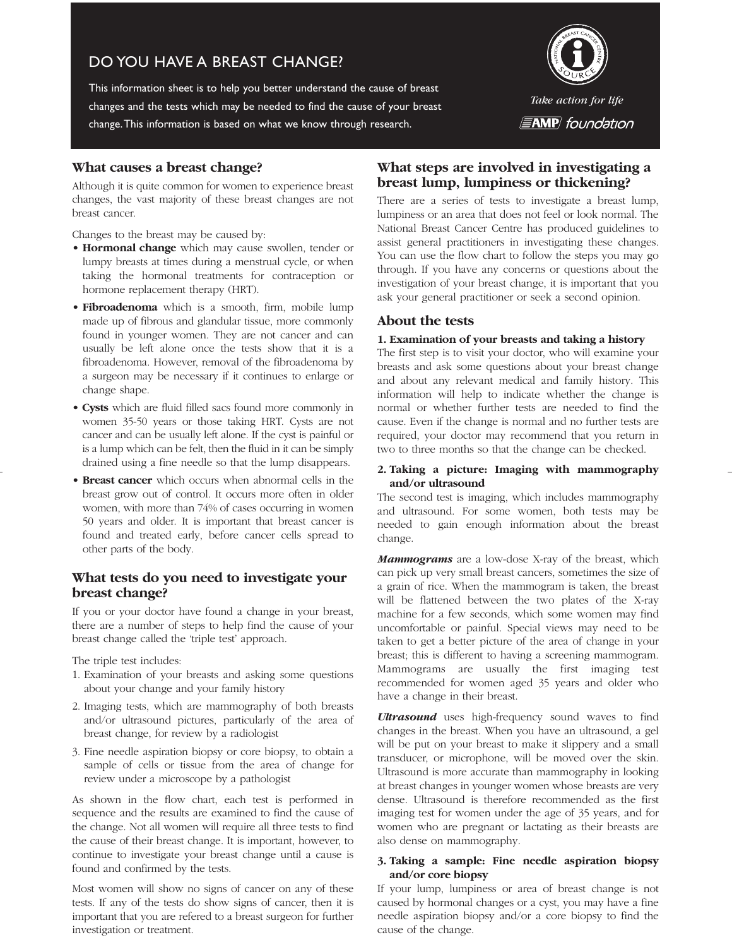# DO YOU HAVE A BREAST CHANGE?

This information sheet is to help you better understand the cause of breast changes and the tests which may be needed to find the cause of your breast change.This information is based on what we know through research.



## **What causes a breast change?**

Although it is quite common for women to experience breast changes, the vast majority of these breast changes are not breast cancer.

Changes to the breast may be caused by:

- **Hormonal change** which may cause swollen, tender or lumpy breasts at times during a menstrual cycle, or when taking the hormonal treatments for contraception or hormone replacement therapy (HRT).
- **Fibroadenoma** which is a smooth, firm, mobile lump made up of fibrous and glandular tissue, more commonly found in younger women. They are not cancer and can usually be left alone once the tests show that it is a fibroadenoma. However, removal of the fibroadenoma by a surgeon may be necessary if it continues to enlarge or change shape.
- **Cysts** which are fluid filled sacs found more commonly in women 35-50 years or those taking HRT. Cysts are not cancer and can be usually left alone. If the cyst is painful or is a lump which can be felt, then the fluid in it can be simply drained using a fine needle so that the lump disappears.
- **Breast cancer** which occurs when abnormal cells in the breast grow out of control. It occurs more often in older women, with more than 74% of cases occurring in women 50 years and older. It is important that breast cancer is found and treated early, before cancer cells spread to other parts of the body.

## **What tests do you need to investigate your breast change?**

If you or your doctor have found a change in your breast, there are a number of steps to help find the cause of your breast change called the 'triple test' approach.

The triple test includes:

- 1. Examination of your breasts and asking some questions about your change and your family history
- 2. Imaging tests, which are mammography of both breasts and/or ultrasound pictures, particularly of the area of breast change, for review by a radiologist
- 3. Fine needle aspiration biopsy or core biopsy, to obtain a sample of cells or tissue from the area of change for review under a microscope by a pathologist

As shown in the flow chart, each test is performed in sequence and the results are examined to find the cause of the change. Not all women will require all three tests to find the cause of their breast change. It is important, however, to continue to investigate your breast change until a cause is found and confirmed by the tests.

Most women will show no signs of cancer on any of these tests. If any of the tests do show signs of cancer, then it is important that you are refered to a breast surgeon for further investigation or treatment.

## **What steps are involved in investigating a breast lump, lumpiness or thickening?**

There are a series of tests to investigate a breast lump, lumpiness or an area that does not feel or look normal. The National Breast Cancer Centre has produced guidelines to assist general practitioners in investigating these changes. You can use the flow chart to follow the steps you may go through. If you have any concerns or questions about the investigation of your breast change, it is important that you ask your general practitioner or seek a second opinion.

## **About the tests**

#### **1. Examination of your breasts and taking a history**

The first step is to visit your doctor, who will examine your breasts and ask some questions about your breast change and about any relevant medical and family history. This information will help to indicate whether the change is normal or whether further tests are needed to find the cause. Even if the change is normal and no further tests are required, your doctor may recommend that you return in two to three months so that the change can be checked.

#### **2. Taking a picture: Imaging with mammography and/or ultrasound**

The second test is imaging, which includes mammography and ultrasound. For some women, both tests may be needed to gain enough information about the breast change.

*Mammograms* are a low-dose X-ray of the breast, which can pick up very small breast cancers, sometimes the size of a grain of rice. When the mammogram is taken, the breast will be flattened between the two plates of the X-ray machine for a few seconds, which some women may find uncomfortable or painful. Special views may need to be taken to get a better picture of the area of change in your breast; this is different to having a screening mammogram. Mammograms are usually the first imaging test recommended for women aged 35 years and older who have a change in their breast.

*Ultrasound* uses high-frequency sound waves to find changes in the breast. When you have an ultrasound, a gel will be put on your breast to make it slippery and a small transducer, or microphone, will be moved over the skin. Ultrasound is more accurate than mammography in looking at breast changes in younger women whose breasts are very dense. Ultrasound is therefore recommended as the first imaging test for women under the age of 35 years, and for women who are pregnant or lactating as their breasts are also dense on mammography.

### **3. Taking a sample: Fine needle aspiration biopsy and/or core biopsy**

If your lump, lumpiness or area of breast change is not caused by hormonal changes or a cyst, you may have a fine needle aspiration biopsy and/or a core biopsy to find the cause of the change.